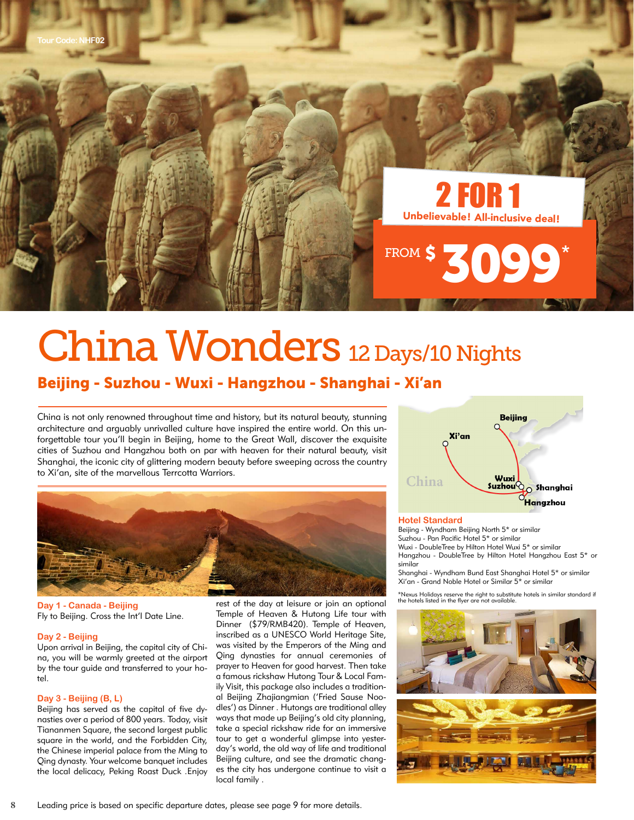

# China Wonders 12 Days/10 Nights

## Beijing - Suzhou - Wuxi - Hangzhou - Shanghai - Xi'an

China is not only renowned throughout time and history, but its natural beauty, stunning architecture and arguably unrivalled culture have inspired the entire world. On this unforgettable tour you'll begin in Beijing, home to the Great Wall, discover the exquisite cities of Suzhou and Hangzhou both on par with heaven for their natural beauty, visit Shanghai, the iconic city of glittering modern beauty before sweeping across the country to Xi'an, site of the marvellous Terrcotta Warriors.



**Day 1 - Canada - Beijing** Fly to Beijing. Cross the Int'l Date Line.

### **Day 2 - Beijing**

Upon arrival in Beijing, the capital city of China, you will be warmly greeted at the airport by the tour guide and transferred to your hotel.

#### **Day 3 - Beijing (B, L)**

Beijing has served as the capital of five dynasties over a period of 800 years. Today, visit Tiananmen Square, the second largest public square in the world, and the Forbidden City, the Chinese imperial palace from the Ming to Qing dynasty. Your welcome banquet includes the local delicacy, Peking Roast Duck .Enjoy

rest of the day at leisure or join an optional Temple of Heaven & Hutong Life tour with Dinner (\$79/RMB420). Temple of Heaven, inscribed as a UNESCO World Heritage Site, was visited by the Emperors of the Ming and Qing dynasties for annual ceremonies of prayer to Heaven for good harvest. Then take a famous rickshaw Hutong Tour & Local Family Visit, this package also includes a traditional Beijing Zhajiangmian ('Fried Sause Noodles') as Dinner . Hutongs are traditional alley ways that made up Beijing's old city planning, take a special rickshaw ride for an immersive tour to get a wonderful glimpse into yesterday's world, the old way of life and traditional Beijing culture, and see the dramatic changes the city has undergone continue to visit a local family .



#### **Hotel Standard**

Beijing - Wyndham Beijing North 5\* or similar Suzhou - Pan Pacific Hotel 5\* or similar Wuxi - DoubleTree by Hilton Hotel Wuxi 5\* or similar Hangzhou - DoubleTree by Hilton Hotel Hangzhou East 5\* or similar

Shanghai - Wyndham Bund East Shanghai Hotel 5\* or similar Xi'an - Grand Noble Hotel or Similar 5\* or similar

\*Nexus Holidays reserve the right to substitute hotels in similar standard if the hotels listed in the flyer are not available.